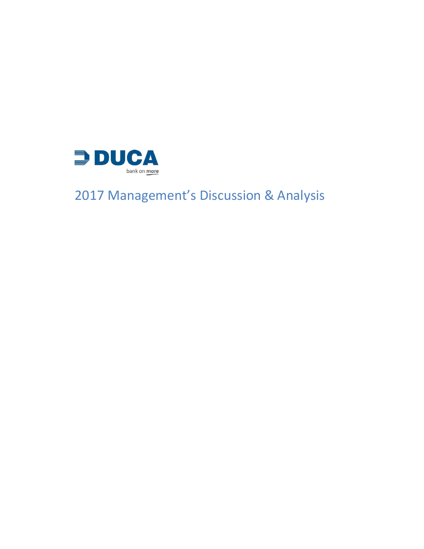

# Management's Discussion & Analysis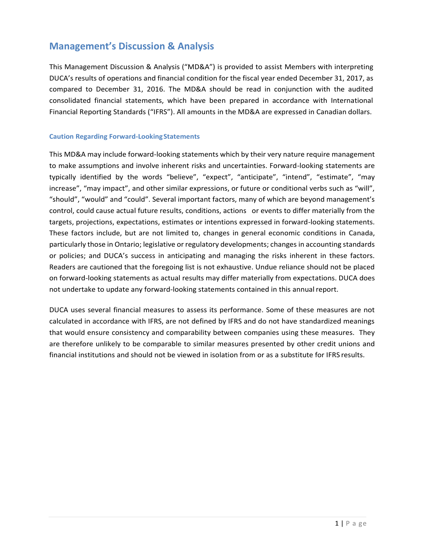# **Management's Discussion & Analysis**

This Management Discussion & Analysis ("MD&A") is provided to assist Members with interpreting DUCA's results of operations and financial condition for the fiscal year ended December 31, 2017, as compared to December 31, 2016. The MD&A should be read in conjunction with the audited consolidated financial statements, which have been prepared in accordance with International Financial Reporting Standards ("IFRS"). All amounts in the MD&A are expressed in Canadian dollars.

#### **Caution Regarding Forward-LookingStatements**

This MD&A may include forward-looking statements which by their very nature require management to make assumptions and involve inherent risks and uncertainties. Forward-looking statements are typically identified by the words "believe", "expect", "anticipate", "intend", "estimate", "may increase", "may impact", and other similar expressions, or future or conditional verbs such as "will", "should", "would" and "could". Several important factors, many of which are beyond management's control, could cause actual future results, conditions, actions or events to differ materially from the targets, projections, expectations, estimates or intentions expressed in forward-looking statements. These factors include, but are not limited to, changes in general economic conditions in Canada, particularly those in Ontario; legislative or regulatory developments; changes in accounting standards or policies; and DUCA's success in anticipating and managing the risks inherent in these factors. Readers are cautioned that the foregoing list is not exhaustive. Undue reliance should not be placed on forward-looking statements as actual results may differ materially from expectations. DUCA does not undertake to update any forward-looking statements contained in this annualreport.

DUCA uses several financial measures to assess its performance. Some of these measures are not calculated in accordance with IFRS, are not defined by IFRS and do not have standardized meanings that would ensure consistency and comparability between companies using these measures. They are therefore unlikely to be comparable to similar measures presented by other credit unions and financial institutions and should not be viewed in isolation from or as a substitute for IFRS results.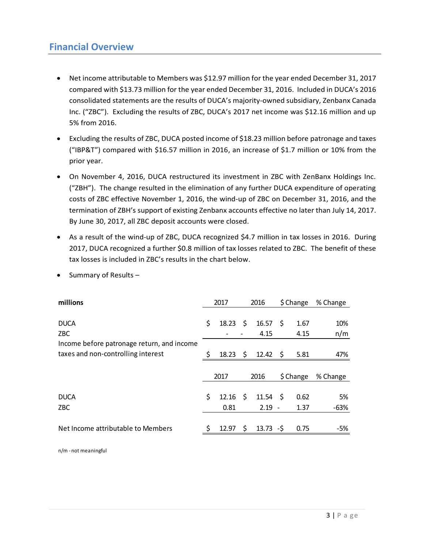### **Financial Overview**

- Net income attributable to Members was \$12.97 million for the year ended December 31, 2017 compared with \$13.73 million for the year ended December 31, 2016. Included in DUCA's 2016 consolidated statements are the results of DUCA's majority-owned subsidiary, Zenbanx Canada Inc. ("ZBC"). Excluding the results of ZBC, DUCA's 2017 net income was \$12.16 million and up 5% from 2016.
- Excluding the results of ZBC, DUCA posted income of \$18.23 million before patronage and taxes ("IBP&T") compared with \$16.57 million in 2016, an increase of \$1.7 million or 10% from the prior year.
- On November 4, 2016, DUCA restructured its investment in ZBC with ZenBanx Holdings Inc. ("ZBH"). The change resulted in the elimination of any further DUCA expenditure of operating costs of ZBC effective November 1, 2016, the wind-up of ZBC on December 31, 2016, and the termination of ZBH's support of existing Zenbanx accounts effective no later than July 14, 2017. By June 30, 2017, all ZBC deposit accounts were closed.
- As a result of the wind-up of ZBC, DUCA recognized \$4.7 million in tax losses in 2016. During 2017, DUCA recognized a further \$0.8 million of tax losses related to ZBC. The benefit of these tax losses is included in ZBC's results in the chart below.

| millions                                                                                               | 2017     |                | 2016                  |                             | $$$ Change |                      | % Change          |  |
|--------------------------------------------------------------------------------------------------------|----------|----------------|-----------------------|-----------------------------|------------|----------------------|-------------------|--|
| <b>DUCA</b><br>ZBC<br>Income before patronage return, and income<br>taxes and non-controlling interest | \$<br>Ŝ. | 18.23<br>18.23 | -\$<br>$\ddot{\zeta}$ | $16.57$ \$<br>4.15<br>12.42 | - S        | 1.67<br>4.15<br>5.81 | 10%<br>n/m<br>47% |  |
|                                                                                                        |          | 2017           |                       | 2016                        |            | \$ Change            | % Change          |  |
| <b>DUCA</b><br>ZBC                                                                                     | \$       | 12.16<br>0.81  | \$                    | 11.54<br>$2.19 -$           | - \$       | 0.62<br>1.37         | 5%<br>$-63%$      |  |
| Net Income attributable to Members                                                                     | ς        | 12.97          | Ŝ.                    | $13.73 - S$                 |            | 0.75                 | -5%               |  |

• Summary of Results –

n/m - not meaningful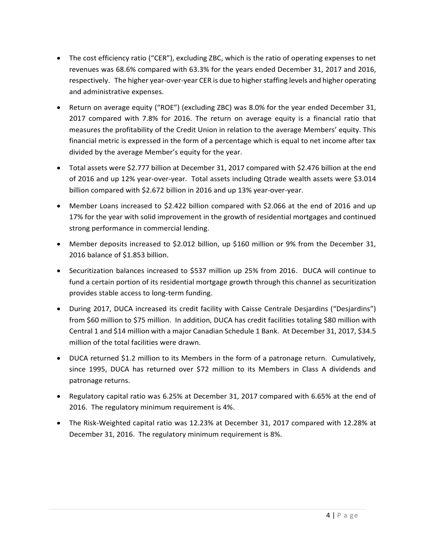- The cost efficiency ratio ("CER"), excluding ZBC, which is the ratio of operating expenses to net revenues was 68.6% compared with 63.3% for the years ended December 31, 2017 and 2016, respectively. The higher year-over-year CER is due to higher staffing levels and higher operating and administrative expenses.
- Return on average equity ("ROE") (excluding ZBC) was 8.0% for the year ended December 31, 2017 compared with 7.8% for 2016. The return on average equity is a financial ratio that measures the profitability of the Credit Union in relation to the average Members' equity. This financial metric is expressed in the form of a percentage which is equal to net income after tax divided by the average Member's equity for the year.
- Total assets were \$2.777 billion at December 31, 2017 compared with \$2.476 billion at the end of 2016 and up 12% year-over-year. Total assets including Qtrade wealth assets were \$3.014 billion compared with \$2.672 billion in 2016 and up 13% year-over-year.
- Member Loans increased to \$2.422 billion compared with \$2.066 at the end of 2016 and up 17% for the year with solid improvement in the growth of residential mortgages and continued strong performance in commercial lending.
- Member deposits increased to \$2.012 billion, up \$160 million or 9% from the December 31, 2016 balance of \$1.853 billion.
- Securitization balances increased to \$537 million up 25% from 2016. DUCA will continue to fund a certain portion of its residential mortgage growth through this channel as securitization provides stable access to long-term funding.
- During 2017, DUCA increased its credit facility with Caisse Centrale Desjardins ("Desjardins") from \$60 million to \$75 million. In addition, DUCA has credit facilities totaling \$80 million with Central 1 and \$14 million with a major Canadian Schedule 1 Bank. At December 31, 2017, \$34.5 million of the total facilities were drawn.
- DUCA returned \$1.2 million to its Members in the form of a patronage return. Cumulatively, since 1995, DUCA has returned over \$72 million to its Members in Class A dividends and patronage returns.
- Regulatory capital ratio was 6.25% at December 31, 2017 compared with 6.65% at the end of 2016. The regulatory minimum requirement is 4%.
- The Risk-Weighted capital ratio was 12.23% at December 31, 2017 compared with 12.28% at December 31, 2016. The regulatory minimum requirement is 8%.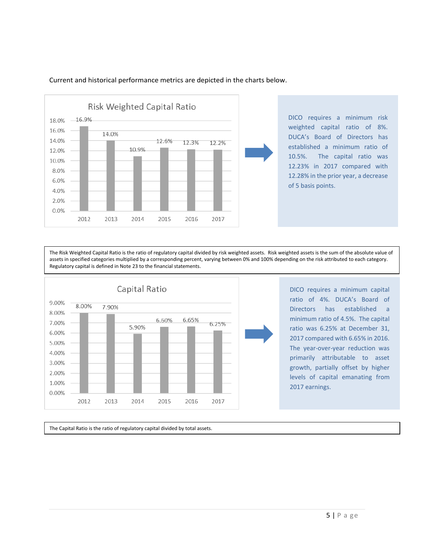

Current and historical performance metrics are depicted in the charts below.

DICO requires a minimum risk weighted capital ratio of 8%. DUCA's Board of Directors has established a minimum ratio of 10.5%. The capital ratio was 12.23% in 2017 compared with 12.28% in the prior year, a decrease of 5 basis points.

The Risk Weighted Capital Ratio is the ratio of regulatory capital divided by risk weighted assets. Risk weighted assets is the sum of the absolute value of assets in specified categories multiplied by a corresponding percent, varying between 0% and 100% depending on the risk attributed to each category. Regulatory capital is defined in Note 23 to the financial statements.



DICO requires a minimum capital ratio of 4%. DUCA's Board of Directors has established a minimum ratio of 4.5%. The capital ratio was 6.25% at December 31, 2017 compared with 6.65% in 2016. The year-over-year reduction was primarily attributable to asset growth, partially offset by higher levels of capital emanating from 2017 earnings.

The Capital Ratio is the ratio of regulatory capital divided by total assets.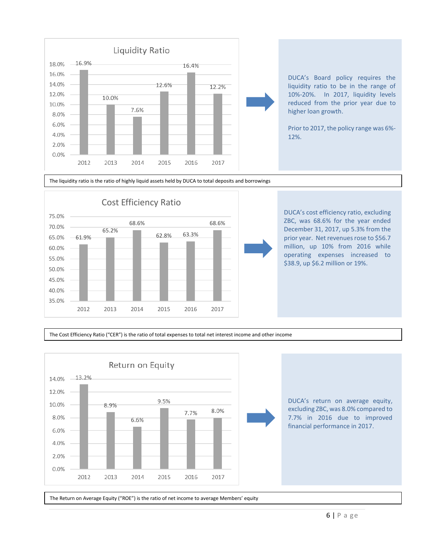

DUCA's Board policy requires the liquidity ratio to be in the range of 10%-20%. In 2017, liquidity levels reduced from the prior year due to higher loan growth.

Prior to 2017, the policy range was 6%- 12%.

#### The liquidity ratio is the ratio of highly liquid assets held by DUCA to total deposits and borrowings



DUCA's cost efficiency ratio, excluding ZBC, was 68.6% for the year ended December 31, 2017, up 5.3% from the prior year. Net revenues rose to \$56.7 million, up 10% from 2016 while operating expenses increased to \$38.9, up \$6.2 million or 19%.

The Cost Efficiency Ratio ("CER") is the ratio of total expenses to total net interest income and other income



The Return on Average Equity ("ROE") is the ratio of net income to average Members' equity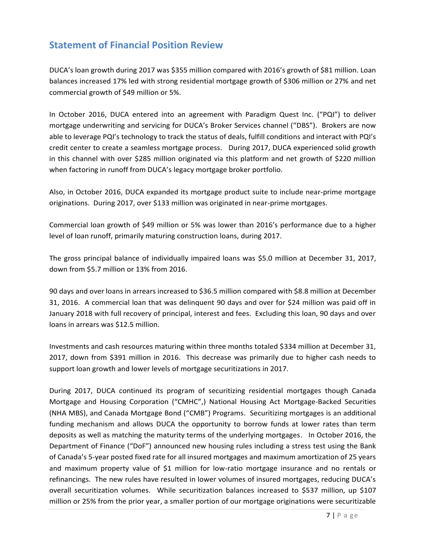# **Statement of Financial Position Review**

DUCA's loan growth during 2017 was \$355 million compared with 2016's growth of \$81 million. Loan balances increased 17% led with strong residential mortgage growth of \$306 million or 27% and net commercial growth of \$49 million or 5%.

In October 2016, DUCA entered into an agreement with Paradigm Quest Inc. ("PQI") to deliver mortgage underwriting and servicing for DUCA's Broker Services channel ("DBS"). Brokers are now able to leverage PQI's technology to track the status of deals, fulfill conditions and interact with PQI's credit center to create a seamless mortgage process. During 2017, DUCA experienced solid growth in this channel with over \$285 million originated via this platform and net growth of \$220 million when factoring in runoff from DUCA's legacy mortgage broker portfolio.

Also, in October 2016, DUCA expanded its mortgage product suite to include near-prime mortgage originations. During 2017, over \$133 million was originated in near-prime mortgages.

Commercial loan growth of \$49 million or 5% was lower than 2016's performance due to a higher level of loan runoff, primarily maturing construction loans, during 2017.

The gross principal balance of individually impaired loans was \$5.0 million at December 31, 2017, down from \$5.7 million or 13% from 2016.

90 days and over loans in arrears increased to \$36.5 million compared with \$8.8 million at December 31, 2016. A commercial loan that was delinquent 90 days and over for \$24 million was paid off in January 2018 with full recovery of principal, interest and fees. Excluding this loan, 90 days and over loans in arrears was \$12.5 million.

Investments and cash resources maturing within three months totaled \$334 million at December 31, 2017, down from \$391 million in 2016. This decrease was primarily due to higher cash needs to support loan growth and lower levels of mortgage securitizations in 2017.

During 2017, DUCA continued its program of securitizing residential mortgages though Canada Mortgage and Housing Corporation ("CMHC",) National Housing Act Mortgage-Backed Securities (NHA MBS), and Canada Mortgage Bond ("CMB") Programs. Securitizing mortgages is an additional funding mechanism and allows DUCA the opportunity to borrow funds at lower rates than term deposits as well as matching the maturity terms of the underlying mortgages. In October 2016, the Department of Finance ("DoF") announced new housing rules including a stress test using the Bank of Canada's 5-year posted fixed rate for all insured mortgages and maximum amortization of 25 years and maximum property value of \$1 million for low-ratio mortgage insurance and no rentals or refinancings. The new rules have resulted in lower volumes of insured mortgages, reducing DUCA's overall securitization volumes. While securitization balances increased to \$537 million, up \$107 million or 25% from the prior year, a smaller portion of our mortgage originations were securitizable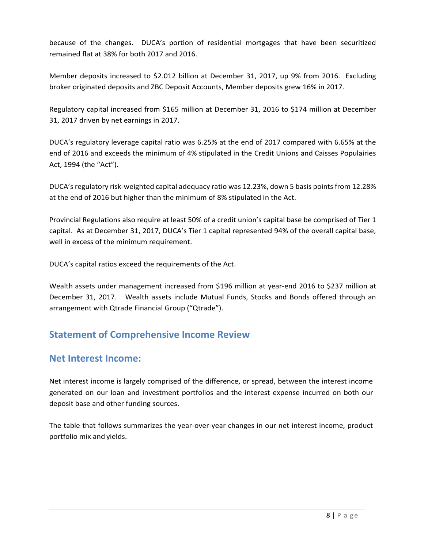because of the changes. DUCA's portion of residential mortgages that have been securitized remained flat at 38% for both 2017 and 2016.

Member deposits increased to \$2.012 billion at December 31, 2017, up 9% from 2016. Excluding broker originated deposits and ZBC Deposit Accounts, Member deposits grew 16% in 2017.

Regulatory capital increased from \$165 million at December 31, 2016 to \$174 million at December 31, 2017 driven by net earnings in 2017.

DUCA's regulatory leverage capital ratio was 6.25% at the end of 2017 compared with 6.65% at the end of 2016 and exceeds the minimum of 4% stipulated in the Credit Unions and Caisses Populairies Act, 1994 (the "Act").

DUCA's regulatory risk-weighted capital adequacy ratio was 12.23%, down 5 basis points from 12.28% at the end of 2016 but higher than the minimum of 8% stipulated in the Act.

Provincial Regulations also require at least 50% of a credit union's capital base be comprised of Tier 1 capital. As at December 31, 2017, DUCA's Tier 1 capital represented 94% of the overall capital base, well in excess of the minimum requirement.

DUCA's capital ratios exceed the requirements of the Act.

Wealth assets under management increased from \$196 million at year-end 2016 to \$237 million at December 31, 2017. Wealth assets include Mutual Funds, Stocks and Bonds offered through an arrangement with Qtrade Financial Group ("Qtrade").

# **Statement of Comprehensive Income Review**

### **Net Interest Income:**

Net interest income is largely comprised of the difference, or spread, between the interest income generated on our loan and investment portfolios and the interest expense incurred on both our deposit base and other funding sources.

The table that follows summarizes the year-over-year changes in our net interest income, product portfolio mix and yields.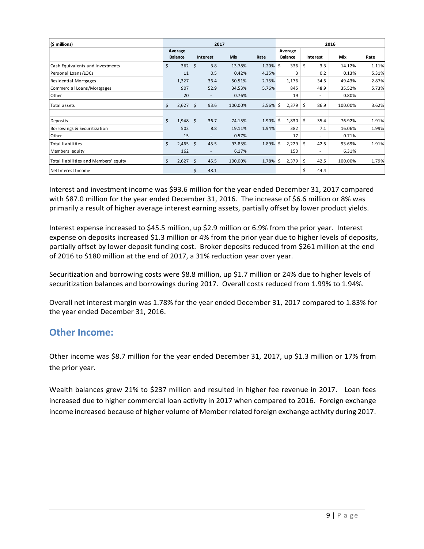| (\$ millions)                         | 2017 |                |      |                          |            | 2016        |                |     |          |         |       |
|---------------------------------------|------|----------------|------|--------------------------|------------|-------------|----------------|-----|----------|---------|-------|
|                                       |      | Average        |      |                          |            |             | Average        |     |          |         |       |
|                                       |      | <b>Balance</b> |      | <b>Interest</b>          | <b>Mix</b> | Rate        | <b>Balance</b> |     | Interest | Mix     | Rate  |
| Cash Equivalents and Investments      | \$   | 362            | Ś.   | 3.8                      | 13.78%     | 1.20% \$    | 336            | \$  | 3.3      | 14.12%  | 1.11% |
| Personal Loans/LOCs                   |      | 11             |      | 0.5                      | 0.42%      | 4.35%       | 3              |     | 0.2      | 0.13%   | 5.31% |
| Residential Mortgages                 |      | 1,327          |      | 36.4                     | 50.51%     | 2.75%       | 1,176          |     | 34.5     | 49.43%  | 2.87% |
| Commercial Loans/Mortgages            |      | 907            |      | 52.9                     | 34.53%     | 5.76%       | 845            |     | 48.9     | 35.52%  | 5.73% |
| Other                                 |      | 20             |      | $\overline{\phantom{a}}$ | 0.76%      |             | 19             |     | $\sim$   | 0.80%   |       |
| Total assets                          | \$   | 2,627          | \$   | 93.6                     | 100.00%    | $3.56\%$ \$ | 2,379          | \$. | 86.9     | 100.00% | 3.62% |
|                                       |      |                |      |                          |            |             |                |     |          |         |       |
| Deposits                              | \$   | 1,948          | - \$ | 36.7                     | 74.15%     | 1.90% \$    | 1,830          | \$  | 35.4     | 76.92%  | 1.91% |
| Borrowings & Securitization           |      | 502            |      | 8.8                      | 19.11%     | 1.94%       | 382            |     | 7.1      | 16.06%  | 1.99% |
| Other                                 |      | 15             |      | ۰                        | 0.57%      |             | 17             |     | $\sim$   | 0.71%   |       |
| <b>Total liabilities</b>              | \$   | $2,465$ \$     |      | 45.5                     | 93.83%     | 1.89% \$    | 2,229          | \$  | 42.5     | 93.69%  | 1.91% |
| Members' equity                       |      | 162            |      | ۰                        | 6.17%      |             | 150            |     | $\sim$   | 6.31%   |       |
| Total liabilities and Members' equity | \$   | 2,627          | \$   | 45.5                     | 100.00%    | 1.78% \$    | 2,379          | Ś.  | 42.5     | 100.00% | 1.79% |
| Net Interest Income                   |      |                | \$   | 48.1                     |            |             |                | Ś.  | 44.4     |         |       |

Interest and investment income was \$93.6 million for the year ended December 31, 2017 compared with \$87.0 million for the year ended December 31, 2016. The increase of \$6.6 million or 8% was primarily a result of higher average interest earning assets, partially offset by lower product yields.

Interest expense increased to \$45.5 million, up \$2.9 million or 6.9% from the prior year. Interest expense on deposits increased \$1.3 million or 4% from the prior year due to higher levels of deposits, partially offset by lower deposit funding cost. Broker deposits reduced from \$261 million at the end of 2016 to \$180 million at the end of 2017, a 31% reduction year over year.

Securitization and borrowing costs were \$8.8 million, up \$1.7 million or 24% due to higher levels of securitization balances and borrowings during 2017. Overall costs reduced from 1.99% to 1.94%.

Overall net interest margin was 1.78% for the year ended December 31, 2017 compared to 1.83% for the year ended December 31, 2016.

### **Other Income:**

Other income was \$8.7 million for the year ended December 31, 2017, up \$1.3 million or 17% from the prior year.

Wealth balances grew 21% to \$237 million and resulted in higher fee revenue in 2017. Loan fees increased due to higher commercial loan activity in 2017 when compared to 2016. Foreign exchange income increased because of higher volume of Member related foreign exchange activity during 2017.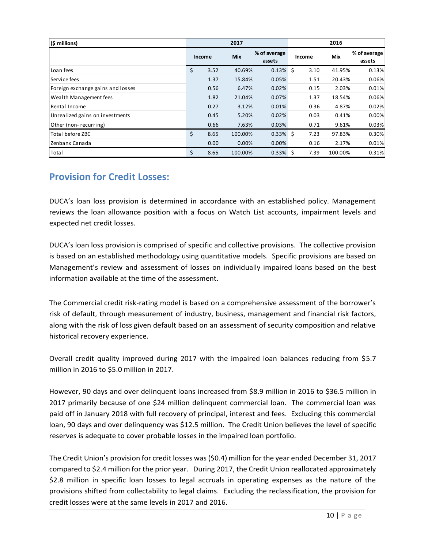| (\$ millions)                                                                                                                                                                                                                                                                                                                                                                                                                                                                                               | 2017 |              |                  |                        | 2016         |                 |                        |  |  |  |
|-------------------------------------------------------------------------------------------------------------------------------------------------------------------------------------------------------------------------------------------------------------------------------------------------------------------------------------------------------------------------------------------------------------------------------------------------------------------------------------------------------------|------|--------------|------------------|------------------------|--------------|-----------------|------------------------|--|--|--|
|                                                                                                                                                                                                                                                                                                                                                                                                                                                                                                             |      | Income       | Mix              | % of average<br>assets | Income       | Mix             | % of average<br>assets |  |  |  |
| Loan fees                                                                                                                                                                                                                                                                                                                                                                                                                                                                                                   | \$   | 3.52         | 40.69%           | $0.13\%$ \$            | 3.10         | 41.95%          | 0.13%                  |  |  |  |
| Service fees                                                                                                                                                                                                                                                                                                                                                                                                                                                                                                |      | 1.37         | 15.84%           | 0.05%                  | 1.51         | 20.43%          | 0.06%                  |  |  |  |
| Foreign exchange gains and losses                                                                                                                                                                                                                                                                                                                                                                                                                                                                           |      | 0.56         | 6.47%            | 0.02%                  | 0.15         | 2.03%           | 0.01%                  |  |  |  |
| Wealth Management fees                                                                                                                                                                                                                                                                                                                                                                                                                                                                                      |      | 1.82         | 21.04%           | 0.07%                  | 1.37         | 18.54%          | 0.06%                  |  |  |  |
| Rental Income                                                                                                                                                                                                                                                                                                                                                                                                                                                                                               |      | 0.27         | 3.12%            | 0.01%                  | 0.36         | 4.87%           | 0.02%                  |  |  |  |
| Unrealized gains on investments                                                                                                                                                                                                                                                                                                                                                                                                                                                                             |      | 0.45         | 5.20%            | 0.02%                  | 0.03         | 0.41%           | 0.00%                  |  |  |  |
| Other (non-recurring)<br>Total before ZBC                                                                                                                                                                                                                                                                                                                                                                                                                                                                   | \$   | 0.66         | 7.63%            | 0.03%<br>$0.33\%$ \$   | 0.71<br>7.23 | 9.61%<br>97.83% | 0.03%                  |  |  |  |
| Zenbanx Canada                                                                                                                                                                                                                                                                                                                                                                                                                                                                                              |      | 8.65<br>0.00 | 100.00%<br>0.00% | 0.00%                  | 0.16         | 2.17%           | 0.30%<br>0.01%         |  |  |  |
| Total                                                                                                                                                                                                                                                                                                                                                                                                                                                                                                       | \$   | 8.65         | 100.00%          | $0.33\%$ \$            | 7.39         | 100.00%         | 0.31%                  |  |  |  |
|                                                                                                                                                                                                                                                                                                                                                                                                                                                                                                             |      |              |                  |                        |              |                 |                        |  |  |  |
| DUCA's loan loss provision is determined in accordance with an established policy. Management<br>reviews the loan allowance position with a focus on Watch List accounts, impairment levels and<br>expected net credit losses.                                                                                                                                                                                                                                                                              |      |              |                  |                        |              |                 |                        |  |  |  |
| DUCA's loan loss provision is comprised of specific and collective provisions. The collective provision<br>is based on an established methodology using quantitative models. Specific provisions are based on<br>Management's review and assessment of losses on individually impaired loans based on the best<br>information available at the time of the assessment.                                                                                                                                      |      |              |                  |                        |              |                 |                        |  |  |  |
| The Commercial credit risk-rating model is based on a comprehensive assessment of the borrower's<br>risk of default, through measurement of industry, business, management and financial risk factors,<br>along with the risk of loss given default based on an assessment of security composition and relative<br>historical recovery experience.                                                                                                                                                          |      |              |                  |                        |              |                 |                        |  |  |  |
| Overall credit quality improved during 2017 with the impaired loan balances reducing from \$5.7<br>million in 2016 to \$5.0 million in 2017.                                                                                                                                                                                                                                                                                                                                                                |      |              |                  |                        |              |                 |                        |  |  |  |
| However, 90 days and over delinquent loans increased from \$8.9 million in 2016 to \$36.5 million in<br>2017 primarily because of one \$24 million delinquent commercial loan. The commercial loan was<br>paid off in January 2018 with full recovery of principal, interest and fees. Excluding this commercial<br>loan, 90 days and over delinquency was \$12.5 million. The Credit Union believes the level of specific<br>reserves is adequate to cover probable losses in the impaired loan portfolio. |      |              |                  |                        |              |                 |                        |  |  |  |
| The Credit Union's provision for credit losses was (\$0.4) million for the year ended December 31, 2017<br>compared to \$2.4 million for the prior year. During 2017, the Credit Union reallocated approximately<br>\$2.8 million in specific loan losses to legal accruals in operating expenses as the nature of the<br>provisions shifted from collectability to legal claims. Excluding the reclassification, the provision for<br>credit losses were at the same levels in 2017 and 2016.              |      |              |                  |                        |              |                 |                        |  |  |  |

# **Provision for Credit Losses:**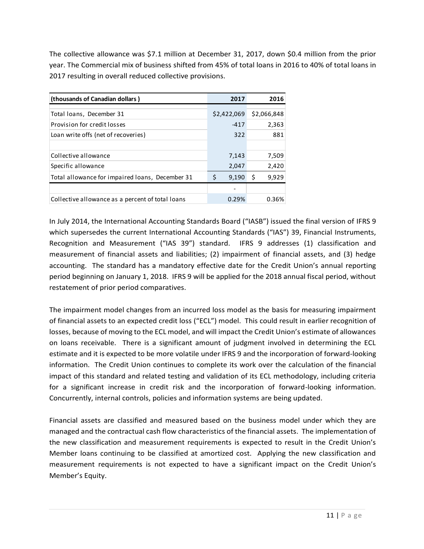The collective allowance was \$7.1 million at December 31, 2017, down \$0.4 million from the prior year. The Commercial mix of business shifted from 45% of total loans in 2016 to 40% of total loans in 2017 resulting in overall reduced collective provisions.

| (thousands of Canadian dollars)                  | 2017        | 2016        |
|--------------------------------------------------|-------------|-------------|
|                                                  |             |             |
| Total loans, December 31                         | \$2,422,069 | \$2,066,848 |
| Provision for credit losses                      | $-417$      | 2,363       |
| Loan write offs (net of recoveries)              | 322         | 881         |
|                                                  |             |             |
| Collective allowance                             | 7,143       | 7,509       |
| Specific allowance                               | 2,047       | 2,420       |
| Total allowance for impaired loans, December 31  | \$<br>9,190 | 9,929<br>Ŝ  |
|                                                  |             |             |
| Collective allowance as a percent of total loans | 0.29%       | 0.36%       |

In July 2014, the International Accounting Standards Board ("IASB") issued the final version of IFRS 9 which supersedes the current International Accounting Standards ("IAS") 39, Financial Instruments, Recognition and Measurement ("IAS 39") standard. IFRS 9 addresses (1) classification and measurement of financial assets and liabilities; (2) impairment of financial assets, and (3) hedge accounting. The standard has a mandatory effective date for the Credit Union's annual reporting period beginning on January 1, 2018. IFRS 9 will be applied for the 2018 annual fiscal period, without restatement of prior period comparatives.

The impairment model changes from an incurred loss model as the basis for measuring impairment of financial assets to an expected credit loss ("ECL") model. This could result in earlier recognition of losses, because of moving to the ECL model, and will impact the Credit Union's estimate of allowances on loans receivable. There is a significant amount of judgment involved in determining the ECL estimate and it is expected to be more volatile under IFRS 9 and the incorporation of forward-looking information. The Credit Union continues to complete its work over the calculation of the financial impact of this standard and related testing and validation of its ECL methodology, including criteria for a significant increase in credit risk and the incorporation of forward-looking information. Concurrently, internal controls, policies and information systems are being updated.

Financial assets are classified and measured based on the business model under which they are managed and the contractual cash flow characteristics of the financial assets. The implementation of the new classification and measurement requirements is expected to result in the Credit Union's Member loans continuing to be classified at amortized cost. Applying the new classification and measurement requirements is not expected to have a significant impact on the Credit Union's Member's Equity.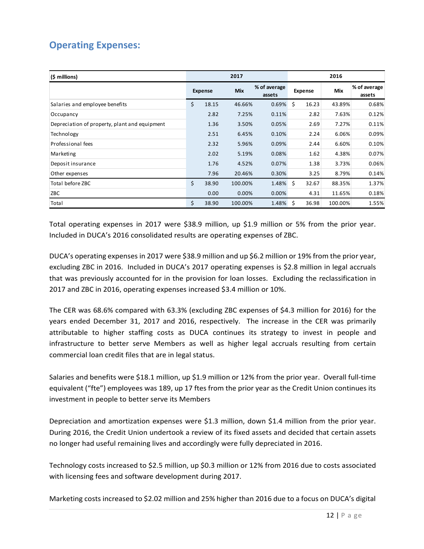# **Operating Expenses:**

| $(5 \text{ millions})$                                                                                                                                                                                                                                                                                                                                                                                                                                                                                                                                                                                                                           | 2016<br>2017 |                                                 |         |       |         |       |         |                        |  |  |
|--------------------------------------------------------------------------------------------------------------------------------------------------------------------------------------------------------------------------------------------------------------------------------------------------------------------------------------------------------------------------------------------------------------------------------------------------------------------------------------------------------------------------------------------------------------------------------------------------------------------------------------------------|--------------|-------------------------------------------------|---------|-------|---------|-------|---------|------------------------|--|--|
|                                                                                                                                                                                                                                                                                                                                                                                                                                                                                                                                                                                                                                                  |              | % of average<br>Mix<br><b>Expense</b><br>assets |         |       | Expense |       | Mix     | % of average<br>assets |  |  |
| Salaries and employee benefits                                                                                                                                                                                                                                                                                                                                                                                                                                                                                                                                                                                                                   | \$           | 18.15                                           | 46.66%  | 0.69% | \$      | 16.23 | 43.89%  | 0.68%                  |  |  |
| Occupancy                                                                                                                                                                                                                                                                                                                                                                                                                                                                                                                                                                                                                                        |              | 2.82                                            | 7.25%   | 0.11% |         | 2.82  | 7.63%   | 0.12%                  |  |  |
| Depreciation of property, plant and equipment                                                                                                                                                                                                                                                                                                                                                                                                                                                                                                                                                                                                    |              | 1.36                                            | 3.50%   | 0.05% |         | 2.69  | 7.27%   | 0.11%                  |  |  |
| Technology                                                                                                                                                                                                                                                                                                                                                                                                                                                                                                                                                                                                                                       |              | 2.51                                            | 6.45%   | 0.10% |         | 2.24  | 6.06%   | 0.09%                  |  |  |
| Professional fees                                                                                                                                                                                                                                                                                                                                                                                                                                                                                                                                                                                                                                |              | 2.32                                            | 5.96%   | 0.09% |         | 2.44  | 6.60%   | 0.10%                  |  |  |
| Marketing                                                                                                                                                                                                                                                                                                                                                                                                                                                                                                                                                                                                                                        |              | 2.02                                            | 5.19%   | 0.08% |         | 1.62  | 4.38%   | 0.07%                  |  |  |
| Deposit insurance                                                                                                                                                                                                                                                                                                                                                                                                                                                                                                                                                                                                                                |              | 1.76                                            | 4.52%   | 0.07% |         | 1.38  | 3.73%   | 0.06%                  |  |  |
| Other expenses                                                                                                                                                                                                                                                                                                                                                                                                                                                                                                                                                                                                                                   |              | 7.96                                            | 20.46%  | 0.30% |         | 3.25  | 8.79%   | 0.14%                  |  |  |
| Total before ZBC                                                                                                                                                                                                                                                                                                                                                                                                                                                                                                                                                                                                                                 | \$           | 38.90                                           | 100.00% | 1.48% | \$      | 32.67 | 88.35%  | 1.37%                  |  |  |
| ZBC                                                                                                                                                                                                                                                                                                                                                                                                                                                                                                                                                                                                                                              |              | 0.00                                            | 0.00%   | 0.00% |         | 4.31  | 11.65%  | 0.18%                  |  |  |
| Total                                                                                                                                                                                                                                                                                                                                                                                                                                                                                                                                                                                                                                            | \$           | 38.90                                           | 100.00% | 1.48% | \$      | 36.98 | 100.00% | 1.55%                  |  |  |
| that was previously accounted for in the provision for loan losses. Excluding the reclassification in<br>2017 and ZBC in 2016, operating expenses increased \$3.4 million or 10%.<br>The CER was 68.6% compared with 63.3% (excluding ZBC expenses of \$4.3 million for 2016) for the<br>years ended December 31, 2017 and 2016, respectively. The increase in the CER was primarily<br>attributable to higher staffing costs as DUCA continues its strategy to invest in people and<br>infrastructure to better serve Members as well as higher legal accruals resulting from certain<br>commercial loan credit files that are in legal status. |              |                                                 |         |       |         |       |         |                        |  |  |
| Salaries and benefits were \$18.1 million, up \$1.9 million or 12% from the prior year. Overall full-time<br>equivalent ("fte") employees was 189, up 17 ftes from the prior year as the Credit Union continues its<br>investment in people to better serve its Members                                                                                                                                                                                                                                                                                                                                                                          |              |                                                 |         |       |         |       |         |                        |  |  |
| Depreciation and amortization expenses were \$1.3 million, down \$1.4 million from the prior year.<br>During 2016, the Credit Union undertook a review of its fixed assets and decided that certain assets<br>no longer had useful remaining lives and accordingly were fully depreciated in 2016.<br>Technology costs increased to \$2.5 million, up \$0.3 million or 12% from 2016 due to costs associated                                                                                                                                                                                                                                     |              |                                                 |         |       |         |       |         |                        |  |  |
| with licensing fees and software development during 2017.<br>Marketing costs increased to \$2.02 million and 25% higher than 2016 due to a focus on DUCA's digital                                                                                                                                                                                                                                                                                                                                                                                                                                                                               |              |                                                 |         |       |         |       |         |                        |  |  |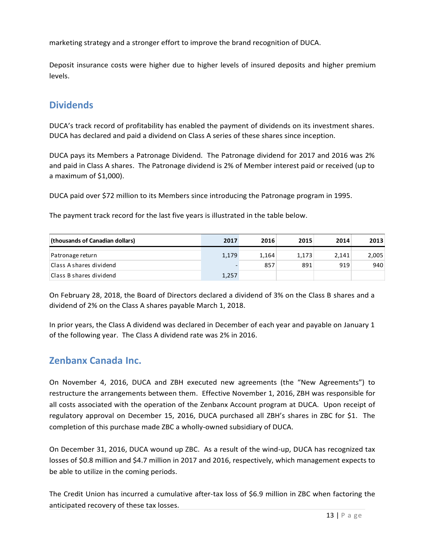marketing strategy and a stronger effort to improve the brand recognition of DUCA.

Deposit insurance costs were higher due to higher levels of insured deposits and higher premium levels.

### **Dividends**

DUCA's track record of profitability has enabled the payment of dividends on its investment shares. DUCA has declared and paid a dividend on Class A series of these shares since inception.

DUCA pays its Members a Patronage Dividend. The Patronage dividend for 2017 and 2016 was 2% and paid in Class A shares. The Patronage dividend is 2% of Member interest paid or received (up to a maximum of \$1,000).

DUCA paid over \$72 million to its Members since introducing the Patronage program in 1995.

The payment track record for the last five years is illustrated in the table below.

| (thousands of Canadian dollars) | 2017  | 2016  | 2015  | 2014  | 2013  |
|---------------------------------|-------|-------|-------|-------|-------|
|                                 |       |       |       |       |       |
| Patronage return                | 1,179 | 1,164 | 1,173 | 2.141 | 2,005 |
| Class Ashares dividend          |       | 857   | 891   | 919   | 940   |
| Class B shares dividend         | 1,257 |       |       |       |       |

On February 28, 2018, the Board of Directors declared a dividend of 3% on the Class B shares and a dividend of 2% on the Class A shares payable March 1, 2018.

In prior years, the Class A dividend was declared in December of each year and payable on January 1 of the following year. The Class A dividend rate was 2% in 2016.

### **Zenbanx Canada Inc.**

On November 4, 2016, DUCA and ZBH executed new agreements (the "New Agreements") to restructure the arrangements between them. Effective November 1, 2016, ZBH was responsible for all costs associated with the operation of the Zenbanx Account program at DUCA. Upon receipt of regulatory approval on December 15, 2016, DUCA purchased all ZBH's shares in ZBC for \$1. The completion of this purchase made ZBC a wholly-owned subsidiary of DUCA. (thousands of Canadian dollars)<br>
Partonage return<br>
Class A shares dividend<br>
Class A shares dividend<br>
Class B shares dividend<br>
On February 28, 2018, the Board of Directors declared a dividend of 3% on the Class B shares and

On December 31, 2016, DUCA wound up ZBC. As a result of the wind-up, DUCA has recognized tax losses of \$0.8 million and \$4.7 million in 2017 and 2016, respectively, which management expects to be able to utilize in the coming periods.

The Credit Union has incurred a cumulative after-tax loss of \$6.9 million in ZBC when factoring the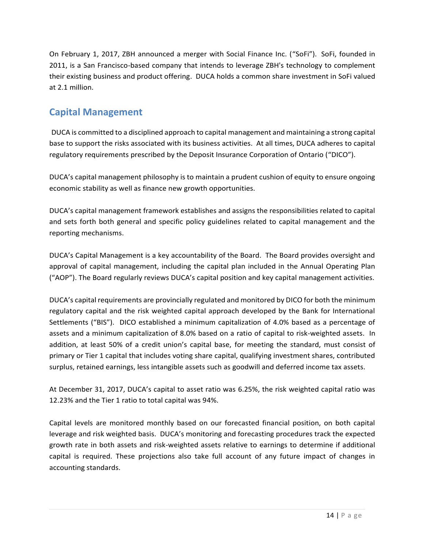On February 1, 2017, ZBH announced a merger with Social Finance Inc. ("SoFi"). SoFi, founded in 2011, is a San Francisco-based company that intends to leverage ZBH's technology to complement their existing business and product offering. DUCA holds a common share investment in SoFi valued at 2.1 million.

# **Capital Management**

DUCA is committed to a disciplined approach to capital management and maintaining a strong capital base to support the risks associated with its business activities. At all times, DUCA adheres to capital regulatory requirements prescribed by the Deposit Insurance Corporation of Ontario ("DICO").

DUCA's capital management philosophy is to maintain a prudent cushion of equity to ensure ongoing economic stability as well as finance new growth opportunities.

DUCA's capital management framework establishes and assigns the responsibilities related to capital and sets forth both general and specific policy guidelines related to capital management and the reporting mechanisms.

DUCA's Capital Management is a key accountability of the Board. The Board provides oversight and approval of capital management, including the capital plan included in the Annual Operating Plan ("AOP"). The Board regularly reviews DUCA's capital position and key capital management activities.

DUCA's capital requirements are provincially regulated and monitored by DICO for both the minimum regulatory capital and the risk weighted capital approach developed by the Bank for International Settlements ("BIS"). DICO established a minimum capitalization of 4.0% based as a percentage of assets and a minimum capitalization of 8.0% based on a ratio of capital to risk-weighted assets. In addition, at least 50% of a credit union's capital base, for meeting the standard, must consist of primary or Tier 1 capital that includes voting share capital, qualifying investment shares, contributed surplus, retained earnings, less intangible assets such as goodwill and deferred income tax assets.

At December 31, 2017, DUCA's capital to asset ratio was 6.25%, the risk weighted capital ratio was 12.23% and the Tier 1 ratio to total capital was 94%.

Capital levels are monitored monthly based on our forecasted financial position, on both capital leverage and risk weighted basis. DUCA's monitoring and forecasting procedures track the expected growth rate in both assets and risk-weighted assets relative to earnings to determine if additional capital is required. These projections also take full account of any future impact of changes in accounting standards.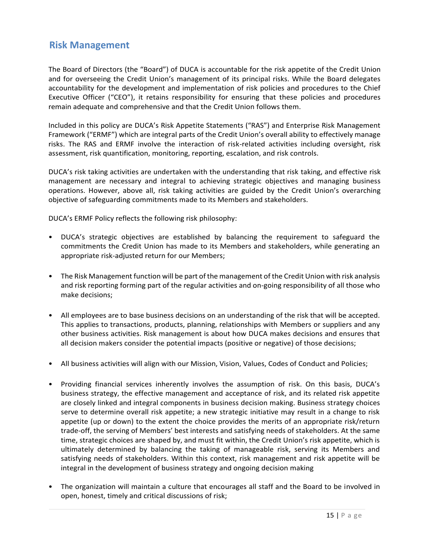### **Risk Management**

The Board of Directors (the "Board") of DUCA is accountable for the risk appetite of the Credit Union and for overseeing the Credit Union's management of its principal risks. While the Board delegates accountability for the development and implementation of risk policies and procedures to the Chief Executive Officer ("CEO"), it retains responsibility for ensuring that these policies and procedures remain adequate and comprehensive and that the Credit Union follows them.

Included in this policy are DUCA's Risk Appetite Statements ("RAS") and Enterprise Risk Management Framework ("ERMF") which are integral parts of the Credit Union's overall ability to effectively manage risks. The RAS and ERMF involve the interaction of risk-related activities including oversight, risk assessment, risk quantification, monitoring, reporting, escalation, and risk controls.

DUCA's risk taking activities are undertaken with the understanding that risk taking, and effective risk management are necessary and integral to achieving strategic objectives and managing business operations. However, above all, risk taking activities are guided by the Credit Union's overarching objective of safeguarding commitments made to its Members and stakeholders.

DUCA's ERMF Policy reflects the following risk philosophy:

- DUCA's strategic objectives are established by balancing the requirement to safeguard the commitments the Credit Union has made to its Members and stakeholders, while generating an appropriate risk-adjusted return for our Members;
- The Risk Management function will be part of the management of the Credit Union with risk analysis and risk reporting forming part of the regular activities and on-going responsibility of all those who make decisions;
- All employees are to base business decisions on an understanding of the risk that will be accepted. This applies to transactions, products, planning, relationships with Members or suppliers and any other business activities. Risk management is about how DUCA makes decisions and ensures that all decision makers consider the potential impacts (positive or negative) of those decisions;
- All business activities will align with our Mission, Vision, Values, Codes of Conduct and Policies;
- Providing financial services inherently involves the assumption of risk. On this basis, DUCA's business strategy, the effective management and acceptance of risk, and its related risk appetite are closely linked and integral components in business decision making. Business strategy choices serve to determine overall risk appetite; a new strategic initiative may result in a change to risk appetite (up or down) to the extent the choice provides the merits of an appropriate risk/return trade-off, the serving of Members' best interests and satisfying needs of stakeholders. At the same time, strategic choices are shaped by, and must fit within, the Credit Union's risk appetite, which is ultimately determined by balancing the taking of manageable risk, serving its Members and satisfying needs of stakeholders. Within this context, risk management and risk appetite will be integral in the development of business strategy and ongoing decision making
- The organization will maintain a culture that encourages all staff and the Board to be involved in open, honest, timely and critical discussions of risk;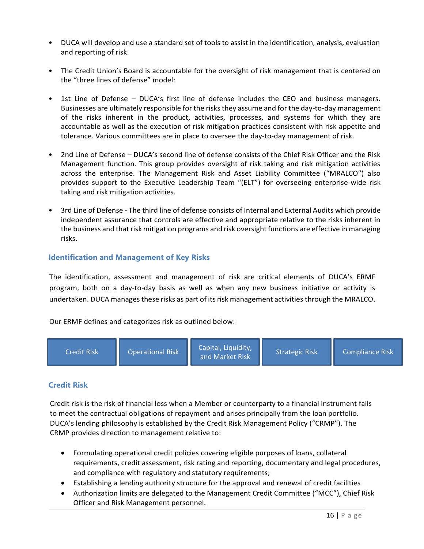- DUCA will develop and use a standard set of tools to assist in the identification, analysis, evaluation and reporting of risk.
- The Credit Union's Board is accountable for the oversight of risk management that is centered on the "three lines of defense" model:
- 1st Line of Defense DUCA's first line of defense includes the CEO and business managers. Businesses are ultimately responsible for the risks they assume and for the day-to-day management of the risks inherent in the product, activities, processes, and systems for which they are accountable as well as the execution of risk mitigation practices consistent with risk appetite and tolerance. Various committees are in place to oversee the day-to-day management of risk.
- 2nd Line of Defense DUCA's second line of defense consists of the Chief Risk Officer and the Risk Management function. This group provides oversight of risk taking and risk mitigation activities across the enterprise. The Management Risk and Asset Liability Committee ("MRALCO") also provides support to the Executive Leadership Team "(ELT") for overseeing enterprise-wide risk taking and risk mitigation activities.
- 3rd Line of Defense The third line of defense consists of Internal and External Audits which provide independent assurance that controls are effective and appropriate relative to the risks inherent in the business and that risk mitigation programs and risk oversight functions are effective in managing risks.

### **Identification and Management of Key Risks**

The identification, assessment and management of risk are critical elements of DUCA's ERMF program, both on a day-to-day basis as well as when any new business initiative or activity is undertaken. DUCA manages these risks as part of its risk management activities through the MRALCO.

Our ERMF defines and categorizes risk as outlined below:



### **Credit Risk**

Credit risk is the risk of financial loss when a Member or counterparty to a financial instrument fails to meet the contractual obligations of repayment and arises principally from the loan portfolio. DUCA's lending philosophy is established by the Credit Risk Management Policy ("CRMP"). The CRMP provides direction to management relative to:

- Formulating operational credit policies covering eligible purposes of loans, collateral requirements, credit assessment, risk rating and reporting, documentary and legal procedures, and compliance with regulatory and statutory requirements;
- Establishing a lending authority structure for the approval and renewal of credit facilities
- Authorization limits are delegated to the Management Credit Committee ("MCC"), Chief Risk Officer and Risk Management personnel.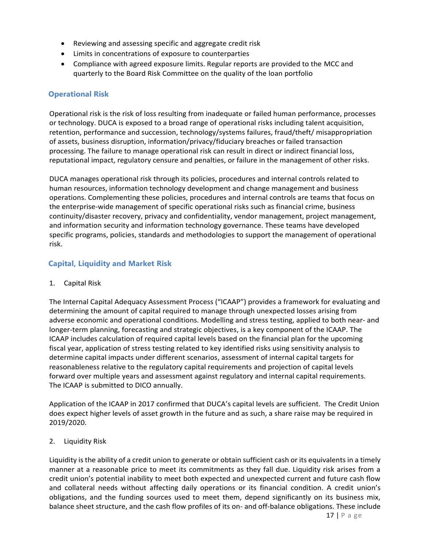- Reviewing and assessing specific and aggregate credit risk
- Limits in concentrations of exposure to counterparties
- Compliance with agreed exposure limits. Regular reports are provided to the MCC and quarterly to the Board Risk Committee on the quality of the loan portfolio

#### **Operational Risk**

Operational risk is the risk of loss resulting from inadequate or failed human performance, processes or technology. DUCA is exposed to a broad range of operational risks including talent acquisition, retention, performance and succession, technology/systems failures, fraud/theft/ misappropriation of assets, business disruption, information/privacy/fiduciary breaches or failed transaction processing. The failure to manage operational risk can result in direct or indirect financial loss, reputational impact, regulatory censure and penalties, or failure in the management of other risks.

DUCA manages operational risk through its policies, procedures and internal controls related to human resources, information technology development and change management and business operations. Complementing these policies, procedures and internal controls are teams that focus on the enterprise-wide management of specific operational risks such as financial crime, business continuity/disaster recovery, privacy and confidentiality, vendor management, project management, and information security and information technology governance. These teams have developed specific programs, policies, standards and methodologies to support the management of operational risk.

### **Capital, Liquidity and Market Risk**

#### 1. Capital Risk

The Internal Capital Adequacy Assessment Process ("ICAAP") provides a framework for evaluating and determining the amount of capital required to manage through unexpected losses arising from adverse economic and operational conditions. Modelling and stress testing, applied to both near- and longer-term planning, forecasting and strategic objectives, is a key component of the ICAAP. The ICAAP includes calculation of required capital levels based on the financial plan for the upcoming fiscal year, application of stress testing related to key identified risks using sensitivity analysis to determine capital impacts under different scenarios, assessment of internal capital targets for reasonableness relative to the regulatory capital requirements and projection of capital levels forward over multiple years and assessment against regulatory and internal capital requirements. The ICAAP is submitted to DICO annually.

Application of the ICAAP in 2017 confirmed that DUCA's capital levels are sufficient. The Credit Union does expect higher levels of asset growth in the future and as such, a share raise may be required in 2019/2020.

#### 2. Liquidity Risk

Liquidity is the ability of a credit union to generate or obtain sufficient cash or its equivalents in a timely manner at a reasonable price to meet its commitments as they fall due. Liquidity risk arises from a credit union's potential inability to meet both expected and unexpected current and future cash flow and collateral needs without affecting daily operations or its financial condition. A credit union's obligations, and the funding sources used to meet them, depend significantly on its business mix, balance sheet structure, and the cash flow profiles of its on- and off-balance obligations. These include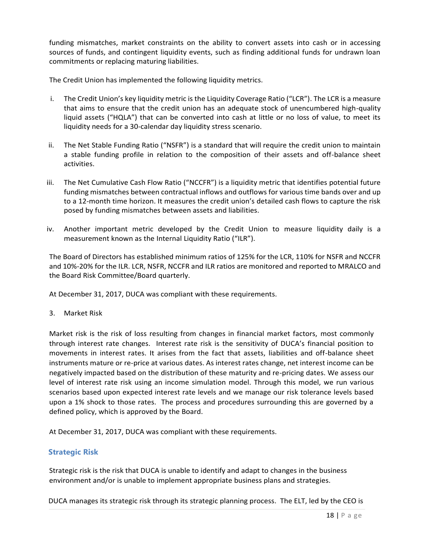funding mismatches, market constraints on the ability to convert assets into cash or in accessing sources of funds, and contingent liquidity events, such as finding additional funds for undrawn loan commitments or replacing maturing liabilities.

The Credit Union has implemented the following liquidity metrics.

- i. The Credit Union's key liquidity metric is the Liquidity Coverage Ratio ("LCR"). The LCR is a measure that aims to ensure that the credit union has an adequate stock of unencumbered high-quality liquid assets ("HQLA") that can be converted into cash at little or no loss of value, to meet its liquidity needs for a 30-calendar day liquidity stress scenario.
- ii. The Net Stable Funding Ratio ("NSFR") is a standard that will require the credit union to maintain a stable funding profile in relation to the composition of their assets and off-balance sheet activities.
- iii. The Net Cumulative Cash Flow Ratio ("NCCFR") is a liquidity metric that identifies potential future funding mismatches between contractual inflows and outflows for various time bands over and up to a 12-month time horizon. It measures the credit union's detailed cash flows to capture the risk posed by funding mismatches between assets and liabilities.
- iv. Another important metric developed by the Credit Union to measure liquidity daily is a measurement known as the Internal Liquidity Ratio ("ILR").

The Board of Directors has established minimum ratios of 125% for the LCR, 110% for NSFR and NCCFR and 10%-20% for the ILR. LCR, NSFR, NCCFR and ILR ratios are monitored and reported to MRALCO and the Board Risk Committee/Board quarterly.

At December 31, 2017, DUCA was compliant with these requirements.

3. Market Risk

Market risk is the risk of loss resulting from changes in financial market factors, most commonly through interest rate changes. Interest rate risk is the sensitivity of DUCA's financial position to movements in interest rates. It arises from the fact that assets, liabilities and off-balance sheet instruments mature or re-price at various dates. As interest rates change, net interest income can be negatively impacted based on the distribution of these maturity and re-pricing dates. We assess our level of interest rate risk using an income simulation model. Through this model, we run various scenarios based upon expected interest rate levels and we manage our risk tolerance levels based upon a 1% shock to those rates. The process and procedures surrounding this are governed by a defined policy, which is approved by the Board.

At December 31, 2017, DUCA was compliant with these requirements.

#### **Strategic Risk**

Strategic risk is the risk that DUCA is unable to identify and adapt to changes in the business environment and/or is unable to implement appropriate business plans and strategies.

DUCA manages its strategic risk through its strategic planning process. The ELT, led by the CEO is